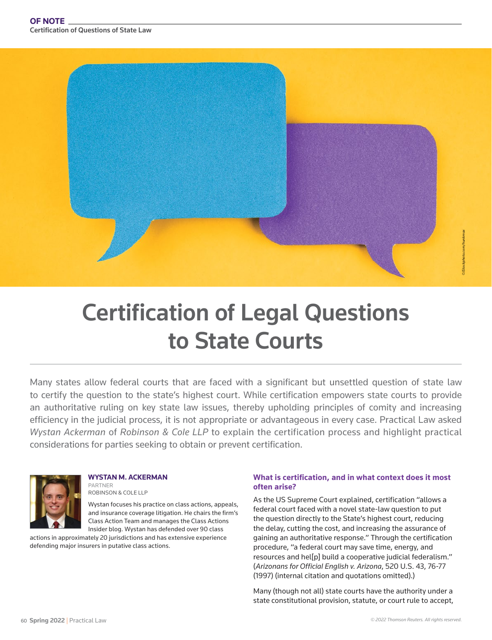

# Certification of Legal Questions to State Courts

Many states allow federal courts that are faced with a significant but unsettled question of state law to certify the question to the state's highest court. While certification empowers state courts to provide an authoritative ruling on key state law issues, thereby upholding principles of comity and increasing efficiency in the judicial process, it is not appropriate or advantageous in every case. Practical Law asked *Wystan Ackerman* of *Robinson & Cole LLP* to explain the certification process and highlight practical considerations for parties seeking to obtain or prevent certification.



**WYSTAN M. ACKERMAN** PARTNER ROBINSON & COLE LLP

Wystan focuses his practice on class actions, appeals, and insurance coverage litigation. He chairs the firm's Class Action Team and manages the Class Actions Insider blog. Wystan has defended over 90 class

actions in approximately 20 jurisdictions and has extensive experience defending major insurers in putative class actions.

#### **What is certification, and in what context does it most often arise?**

As the US Supreme Court explained, certification "allows a federal court faced with a novel state-law question to put the question directly to the State's highest court, reducing the delay, cutting the cost, and increasing the assurance of gaining an authoritative response." Through the certification procedure, "a federal court may save time, energy, and resources and hel[p] build a cooperative judicial federalism." (*Arizonans for Official English v. Arizona*, 520 U.S. 43, 76-77 (1997) (internal citation and quotations omitted).)

Many (though not all) state courts have the authority under a state constitutional provision, statute, or court rule to accept,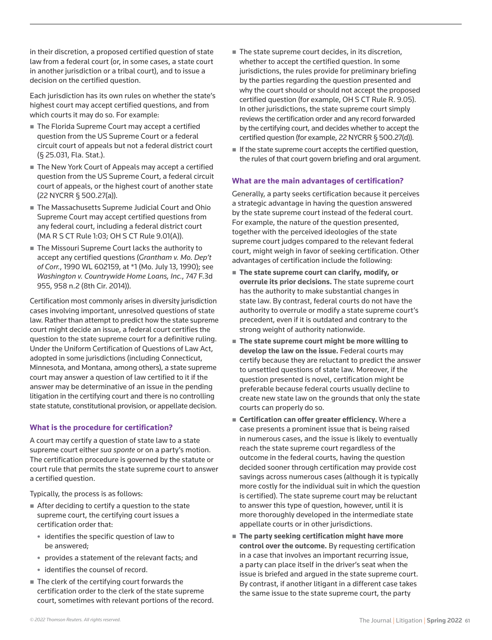in their discretion, a proposed certified question of state law from a federal court (or, in some cases, a state court in another jurisdiction or a tribal court), and to issue a decision on the certified question.

Each jurisdiction has its own rules on whether the state's highest court may accept certified questions, and from which courts it may do so. For example:

- The Florida Supreme Court may accept a certified question from the US Supreme Court or a federal circuit court of appeals but not a federal district court (§ 25.031, Fla. Stat.).
- The New York Court of Appeals may accept a certified question from the US Supreme Court, a federal circuit court of appeals, or the highest court of another state (22 NYCRR § 500.27(a)).
- The Massachusetts Supreme Judicial Court and Ohio Supreme Court may accept certified questions from any federal court, including a federal district court (MA R S CT Rule 1:03; OH S CT Rule 9.01(A)).
- The Missouri Supreme Court lacks the authority to accept any certified questions (*Grantham v. Mo. Dep't of Corr.*, 1990 WL 602159, at \*1 (Mo. July 13, 1990); see *Washington v. Countrywide Home Loans, Inc.*, 747 F.3d 955, 958 n.2 (8th Cir. 2014)).

Certification most commonly arises in diversity jurisdiction cases involving important, unresolved questions of state law. Rather than attempt to predict how the state supreme court might decide an issue, a federal court certifies the question to the state supreme court for a definitive ruling. Under the Uniform Certification of Questions of Law Act, adopted in some jurisdictions (including Connecticut, Minnesota, and Montana, among others), a state supreme court may answer a question of law certified to it if the answer may be determinative of an issue in the pending litigation in the certifying court and there is no controlling state statute, constitutional provision, or appellate decision.

## **What is the procedure for certification?**

A court may certify a question of state law to a state supreme court either *sua sponte* or on a party's motion. The certification procedure is governed by the statute or court rule that permits the state supreme court to answer a certified question.

Typically, the process is as follows:

- After deciding to certify a question to the state supreme court, the certifying court issues a certification order that:
	- identifies the specific question of law to be answered;
	- provides a statement of the relevant facts; and
	- identifies the counsel of record.
- $\blacksquare$  The clerk of the certifying court forwards the certification order to the clerk of the state supreme court, sometimes with relevant portions of the record.
- The state supreme court decides, in its discretion, whether to accept the certified question. In some jurisdictions, the rules provide for preliminary briefing by the parties regarding the question presented and why the court should or should not accept the proposed certified question (for example, OH S CT Rule R. 9.05). In other jurisdictions, the state supreme court simply reviews the certification order and any record forwarded by the certifying court, and decides whether to accept the certified question (for example, 22 NYCRR § 500.27(d)).
- If the state supreme court accepts the certified question, the rules of that court govern briefing and oral argument.

#### **What are the main advantages of certification?**

Generally, a party seeks certification because it perceives a strategic advantage in having the question answered by the state supreme court instead of the federal court. For example, the nature of the question presented, together with the perceived ideologies of the state supreme court judges compared to the relevant federal court, might weigh in favor of seeking certification. Other advantages of certification include the following:

- **The state supreme court can clarify, modify, or overrule its prior decisions.** The state supreme court has the authority to make substantial changes in state law. By contrast, federal courts do not have the authority to overrule or modify a state supreme court's precedent, even if it is outdated and contrary to the strong weight of authority nationwide.
- **The state supreme court might be more willing to develop the law on the issue.** Federal courts may certify because they are reluctant to predict the answer to unsettled questions of state law. Moreover, if the question presented is novel, certification might be preferable because federal courts usually decline to create new state law on the grounds that only the state courts can properly do so.
- **Certification can offer greater efficiency.** Where a case presents a prominent issue that is being raised in numerous cases, and the issue is likely to eventually reach the state supreme court regardless of the outcome in the federal courts, having the question decided sooner through certification may provide cost savings across numerous cases (although it is typically more costly for the individual suit in which the question is certified). The state supreme court may be reluctant to answer this type of question, however, until it is more thoroughly developed in the intermediate state appellate courts or in other jurisdictions.
- **The party seeking certification might have more control over the outcome.** By requesting certification in a case that involves an important recurring issue, a party can place itself in the driver's seat when the issue is briefed and argued in the state supreme court. By contrast, if another litigant in a different case takes the same issue to the state supreme court, the party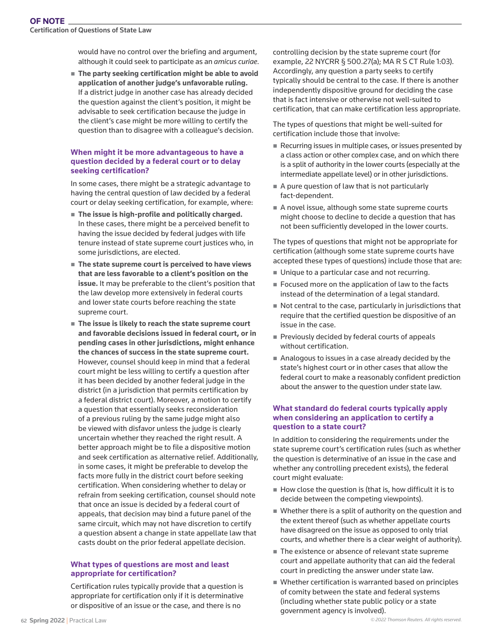Certification of Questions of State Law

would have no control over the briefing and argument, although it could seek to participate as an *amicus curiae*.

 **The party seeking certification might be able to avoid application of another judge's unfavorable ruling.** If a district judge in another case has already decided the question against the client's position, it might be advisable to seek certification because the judge in the client's case might be more willing to certify the question than to disagree with a colleague's decision.

### **When might it be more advantageous to have a question decided by a federal court or to delay seeking certification?**

In some cases, there might be a strategic advantage to having the central question of law decided by a federal court or delay seeking certification, for example, where:

- **The issue is high-profile and politically charged.** In these cases, there might be a perceived benefit to having the issue decided by federal judges with life tenure instead of state supreme court justices who, in some jurisdictions, are elected.
- **The state supreme court is perceived to have views that are less favorable to a client's position on the issue.** It may be preferable to the client's position that the law develop more extensively in federal courts and lower state courts before reaching the state supreme court.
- **The issue is likely to reach the state supreme court and favorable decisions issued in federal court, or in pending cases in other jurisdictions, might enhance the chances of success in the state supreme court.**  However, counsel should keep in mind that a federal court might be less willing to certify a question after it has been decided by another federal judge in the district (in a jurisdiction that permits certification by a federal district court). Moreover, a motion to certify a question that essentially seeks reconsideration of a previous ruling by the same judge might also be viewed with disfavor unless the judge is clearly uncertain whether they reached the right result. A better approach might be to file a dispositive motion and seek certification as alternative relief. Additionally, in some cases, it might be preferable to develop the facts more fully in the district court before seeking certification. When considering whether to delay or refrain from seeking certification, counsel should note that once an issue is decided by a federal court of appeals, that decision may bind a future panel of the same circuit, which may not have discretion to certify a question absent a change in state appellate law that casts doubt on the prior federal appellate decision.

#### **What types of questions are most and least appropriate for certification?**

Certification rules typically provide that a question is appropriate for certification only if it is determinative or dispositive of an issue or the case, and there is no

controlling decision by the state supreme court (for example, 22 NYCRR § 500.27(a); MA R S CT Rule 1:03). Accordingly, any question a party seeks to certify typically should be central to the case. If there is another independently dispositive ground for deciding the case that is fact intensive or otherwise not well-suited to certification, that can make certification less appropriate.

The types of questions that might be well-suited for certification include those that involve:

- Recurring issues in multiple cases, or issues presented by a class action or other complex case, and on which there is a split of authority in the lower courts (especially at the intermediate appellate level) or in other jurisdictions.
- A pure question of law that is not particularly fact-dependent.
- A novel issue, although some state supreme courts might choose to decline to decide a question that has not been sufficiently developed in the lower courts.

The types of questions that might not be appropriate for certification (although some state supreme courts have accepted these types of questions) include those that are:

- Unique to a particular case and not recurring.
- Focused more on the application of law to the facts instead of the determination of a legal standard.
- Not central to the case, particularly in jurisdictions that require that the certified question be dispositive of an issue in the case.
- Previously decided by federal courts of appeals without certification.
- Analogous to issues in a case already decided by the state's highest court or in other cases that allow the federal court to make a reasonably confident prediction about the answer to the question under state law.

### **What standard do federal courts typically apply when considering an application to certify a question to a state court?**

In addition to considering the requirements under the state supreme court's certification rules (such as whether the question is determinative of an issue in the case and whether any controlling precedent exists), the federal court might evaluate:

- $\blacksquare$  How close the question is (that is, how difficult it is to decide between the competing viewpoints).
- Whether there is a split of authority on the question and the extent thereof (such as whether appellate courts have disagreed on the issue as opposed to only trial courts, and whether there is a clear weight of authority).
- The existence or absence of relevant state supreme court and appellate authority that can aid the federal court in predicting the answer under state law.
- Whether certification is warranted based on principles of comity between the state and federal systems (including whether state public policy or a state government agency is involved).